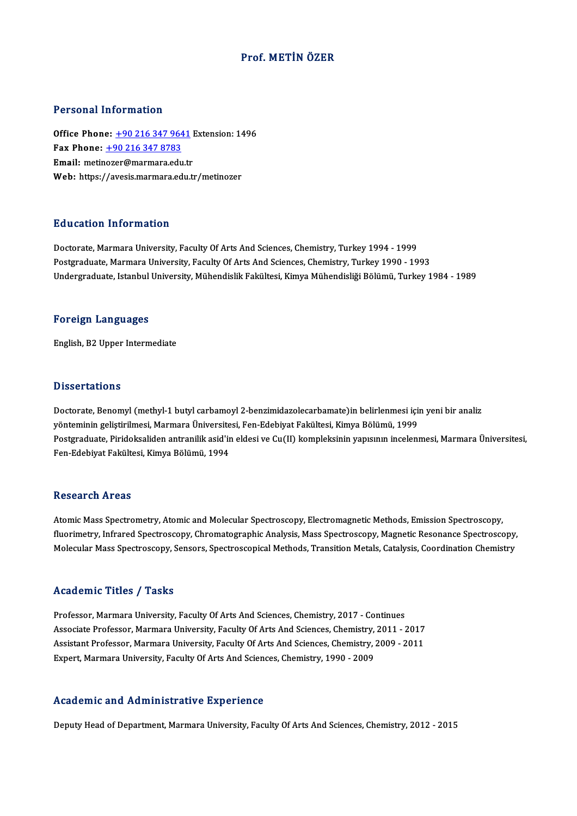## Prof.METİN ÖZER

#### Personal Information

Personal Information<br>Office Phone: <u>+90 216 347 9641</u> Extension: 1496<br>Fax Phone: 190 316 347 9793 Fax Phone:  $\pm 90$  216 347 8783<br>Email: metinozer@marmara.edu.tr Office Phone: <u>+90 216 347 9641</u><br>Fax Phone: <u>+90 216 347 8783</u><br>Email: metin[ozer@marmara.ed](tel:+90 216 347 8783)[u.tr](tel:+90 216 347 9641)<br>Web: https://avosis.marmara.edu.tr Web: https://avesis.marmara.edu.tr/metinozer

## Education Information

Doctorate, Marmara University, Faculty Of Arts And Sciences, Chemistry, Turkey 1994 - 1999 Postgraduate, Marmara University, Faculty Of Arts And Sciences, Chemistry, Turkey 1990 - 1993 Undergraduate, Istanbul University, Mühendislik Fakültesi, Kimya Mühendisliği Bölümü, Turkey 1984 - 1989

#### Foreign Languages

English,B2Upper Intermediate

#### **Dissertations**

Doctorate, Benomyl (methyl-1 butyl carbamoyl 2-benzimidazolecarbamate)in belirlenmesi için yeni bir analiz yönteminin geliştirilmesi, Marmara Üniversitesi, Fen-Edebiyat Fakültesi, Kimya Bölümü, 1999 Doctorate, Benomyl (methyl-1 butyl carbamoyl 2-benzimidazolecarbamate)in belirlenmesi için yeni bir analiz<br>yönteminin geliştirilmesi, Marmara Üniversitesi, Fen-Edebiyat Fakültesi, Kimya Bölümü, 1999<br>Postgraduate, Piridoksa yönteminin geliştirilmesi, Marmara Üniversite<br>Postgraduate, Piridoksaliden antranilik asid'ir<br>Fen-Edebiyat Fakültesi, Kimya Bölümü, 1994 Fen-Edebiyat Fakültesi, Kimya Bölümü, 1994<br>Research Areas

Atomic Mass Spectrometry, Atomic and Molecular Spectroscopy, Electromagnetic Methods, Emission Spectroscopy, fluorent en 111 013<br>Atomic Mass Spectrometry, Atomic and Molecular Spectroscopy, Electromagnetic Methods, Emission Spectroscopy,<br>Malagular Mass Spectroscopy, Chromatographic Analysis, Mass Spectroscopy, Magnetic Resonance Atomic Mass Spectrometry, Atomic and Molecular Spectroscopy, Electromagnetic Methods, Emission Spectroscopy,<br>fluorimetry, Infrared Spectroscopy, Chromatographic Analysis, Mass Spectroscopy, Magnetic Resonance Spectroscopy, Molecular Mass Spectroscopy, Sensors, Spectroscopical Methods, Transition Metals, Catalysis, Coordination Chemistry<br>Academic Titles / Tasks

Professor, Marmara University, Faculty Of Arts And Sciences, Chemistry, 2017 - Continues Associate Article 7, Andre<br>Professor, Marmara University, Faculty Of Arts And Sciences, Chemistry, 2017 - Continues<br>Associate Professor, Marmara University, Faculty Of Arts And Sciences, Chemistry, 2009, 2011<br>Assistant Pro Professor, Marmara University, Faculty Of Arts And Sciences, Chemistry, 2017 - Continues<br>Associate Professor, Marmara University, Faculty Of Arts And Sciences, Chemistry, 2011 - 2017<br>Assistant Professor, Marmara University Associate Professor, Marmara University, Faculty Of Arts And Sciences, Chemistry,<br>Assistant Professor, Marmara University, Faculty Of Arts And Sciences, Chemistry, .<br>Expert, Marmara University, Faculty Of Arts And Sciences Expert, Marmara University, Faculty Of Arts And Sciences, Chemistry, 1990 - 2009<br>Academic and Administrative Experience

Deputy Head of Department, Marmara University, Faculty Of Arts And Sciences, Chemistry, 2012 - 2015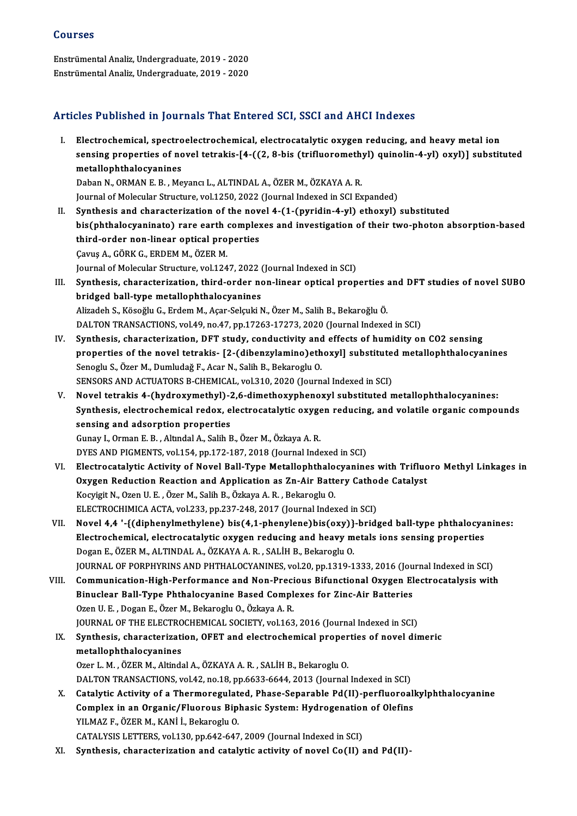## Courses

EnstrümentalAnaliz,Undergraduate,2019 -2020 EnstrümentalAnaliz,Undergraduate,2019 -2020

## Articles Published in Journals That Entered SCI, SSCI and AHCI Indexes

- I. Electrochemical, spectroelectrochemical, electrocatalytic oxygen reducing, and heavymetal ion seed a deficincy in your mais a much our our, occle that these indences<br>Electrochemical, spectroelectrochemical, electrocatalytic oxygen reducing, and heavy metal ion<br>sensing properties of novel tetrakis-[4-((2, 8-bis (tri Electrochemical, spectro<br>sensing properties of no<br>metallophthalocyanines<br>Peben N. OPMAN E.P. Me sensing properties of novel tetrakis-[4-((2, 8-bis (trifluorometh)<br>metallophthalocyanines<br>Daban N., ORMAN E. B. , Meyancı L., ALTINDAL A., ÖZER M., ÖZKAYA A. R.<br>Journal of Mologylar Strugture vol 1250-2022 (Journal Indoved metallophthalocyanines<br>Daban N., ORMAN E. B. , Meyancı L., ALTINDAL A., ÖZER M., ÖZKAYA A. R.<br>Journal of Molecular Structure, vol.1250, 2022 (Journal Indexed in SCI Expanded) Daban N., ORMAN E. B., Meyancı L., ALTINDAL A., ÖZER M., ÖZKAYA A. R.<br>Journal of Molecular Structure, vol.1250, 2022 (Journal Indexed in SCI Expanded)<br>II. Synthesis and characterization of the novel 4-(1-(pyridin-4-yl) eth bis(phthalocyaninato) rare earth complexes and investigation of their two-photon absorption-based Synthesis and characterization of the nov<br>bis(phthalocyaninato) rare earth complex<br>third-order non-linear optical properties<br>Cauve A. GÖRK G. ERDEM M. ÖZER M. ÇavuşA.,GÖRKG.,ERDEMM.,ÖZERM. Journal of Molecular Structure, vol.1247, 2022 (Journal Indexed in SCI) Cavuş A., GÖRK G., ERDEM M., ÖZER M.<br>Journal of Molecular Structure, vol.1247, 2022 (Journal Indexed in SCI)<br>III. Synthesis, characterization, third-order non-linear optical properties and DFT studies of novel SUBO<br>hridged Journal of Molecular Structure, vol.1247, 2022 (<br>Synthesis, characterization, third-order no<br>bridged ball-type metallophthalocyanines<br>Alizadeb S. Kössölu G. Erdem M. Asar Sokulti N bridged ball-type metallophthalocyanines<br>Alizadeh S., Kösoğlu G., Erdem M., Açar-Selçuki N., Özer M., Salih B., Bekaroğlu Ö. DALTON TRANSACTIONS, vol.49, no.47, pp.17263-17273, 2020 (Journal Indexed in SCI) IV. Synthesis, characterization, DFT study, conductivity and effects of humidity on CO2 sensing DALTON TRANSACTIONS, vol.49, no.47, pp.17263-17273, 2020 (Journal Indexed in SCI)<br>Synthesis, characterization, DFT study, conductivity and effects of humidity on CO2 sensing<br>properties of the novel tetrakis- [2-(dibenzylam Senoglu S., Özer M., Dumludağ F., Acar N., Salih B., Bekaroglu O.<br>SENSORS AND ACTUATORS B-CHEMICAL, vol.310, 2020 (Journal Indexed in SCI) properties of the novel tetrakis- [2-(dibenzylamino)ethoxyl] substitute<br>Senoglu S., Özer M., Dumludağ F., Acar N., Salih B., Bekaroglu O.<br>SENSORS AND ACTUATORS B-CHEMICAL, vol.310, 2020 (Journal Indexed in SCI)<br>Novel tetra Senoglu S., Özer M., Dumludağ F., Acar N., Salih B., Bekaroglu O.<br>SENSORS AND ACTUATORS B-CHEMICAL, vol.310, 2020 (Journal Indexed in SCI)<br>V. Novel tetrakis 4-(hydroxymethyl)-2,6-dimethoxyphenoxyl substituted metallophthal Synthesis, electrochemical redox, electrocatalytic oxygen reducing, and volatile organic compounds Novel tetrakis 4-(hydroxymethyl)-2<br>Synthesis, electrochemical redox, e<br>sensing and adsorption properties Gunay I.,OrmanE.B. ,AltındalA.,SalihB.,ÖzerM.,ÖzkayaA.R. DYES AND PIGMENTS, vol.154, pp.172-187, 2018 (Journal Indexed in SCI) Gunay I., Orman E. B. , Altındal A., Salih B., Özer M., Özkaya A. R.<br>DYES AND PIGMENTS, vol.154, pp.172-187, 2018 (Journal Indexed in SCI)<br>VI. Electrocatalytic Activity of Novel Ball-Type Metallophthalocyanines with Triflu DYES AND PIGMENTS, vol.154, pp.172-187, 2018 (Journal Indexed in SCI)<br>Electrocatalytic Activity of Novel Ball-Type Metallophthalocyanines with Trifluo<br>Oxygen Reduction Reaction and Application as Zn-Air Battery Cathode Cat Electrocatalytic Activity of Novel Ball-Type Metallophthalo<br>Oxygen Reduction Reaction and Application as Zn-Air Batto<br>Kocyigit N., Ozen U. E. , Özer M., Salih B., Özkaya A. R. , Bekaroglu O.<br>ELECTROCHIMICA ACTA, vol 333, p Oxygen Reduction Reaction and Application as Zn-Air Battery Cathode Catalyst<br>Kocyigit N., Ozen U. E. , Özer M., Salih B., Özkaya A. R. , Bekaroglu O.<br>ELECTROCHIMICA ACTA, vol.233, pp.237-248, 2017 (Journal Indexed in SCI) Kocyigit N., Ozen U. E. , Özer M., Salih B., Özkaya A. R. , Bekaroglu O.<br>ELECTROCHIMICA ACTA, vol.233, pp.237-248, 2017 (Journal Indexed in SCI)<br>VII. Novel 4,4 '-{(diphenylmethylene) bis(4,1-phenylene)bis(oxy)}-bridged bal ELECTROCHIMICA ACTA, vol.233, pp.237-248, 2017 (Journal Indexed in SCI)<br>Novel 4,4 '-{(diphenylmethylene) bis(4,1-phenylene)bis(oxy)}-bridged ball-type phthalocya<br>Electrochemical, electrocatalytic oxygen reducing and heavy Novel 4,4 '-{(diphenylmethylene) bis(4,1-phenylene)bis(oxy)}<br>Electrochemical, electrocatalytic oxygen reducing and heavy m<br>Dogan E., ÖZER M., ALTINDAL A., ÖZKAYA A. R. , SALİH B., Bekaroglu O.<br>JOUPMAL OE POPPHYPINS AND PHT Electrochemical, electrocatalytic oxygen reducing and heavy metals ions sensing properties<br>Dogan E., ÖZER M., ALTINDAL A., ÖZKAYA A. R. , SALİH B., Bekaroglu O.<br>JOURNAL OF PORPHYRINS AND PHTHALOCYANINES, vol.20, pp.1319-13 Dogan E., ÖZER M., ALTINDAL A., ÖZKAYA A. R. , SALİH B., Bekaroglu O.<br>JOURNAL OF PORPHYRINS AND PHTHALOCYANINES, vol.20, pp.1319-1333, 2016 (Journal Indexed in SCI)<br>VIII. Communication-High-Performance and Non-Precious Bif JOURNAL OF PORPHYRINS AND PHTHALOCYANINES, vol.20, pp.1319-1333, 2016 (Jou<br>Communication-High-Performance and Non-Precious Bifunctional Oxygen El<br>Binuclear Ball-Type Phthalocyanine Based Complexes for Zinc-Air Batteries<br>Oz Communication-High-Performance and Non-Preci<br>Binuclear Ball-Type Phthalocyanine Based Compl<br>Ozen U. E. , Dogan E., Özer M., Bekaroglu O., Özkaya A. R.<br>JOUPMAL OF THE ELECTROCHEMICAL SOCIETY, Vol.162 Binuclear Ball-Type Phthalocyanine Based Complexes for Zinc-Air Batteries<br>Ozen U. E. , Dogan E., Özer M., Bekaroglu O., Özkaya A. R.<br>JOURNAL OF THE ELECTROCHEMICAL SOCIETY, vol.163, 2016 (Journal Indexed in SCI) IX. Synthesis, characterization, OFET and electrochemical properties of novel dimeric metallophthalocyanines Ozer L. M., ÖZER M., Altindal A., ÖZKAYA A. R., SALİH B., Bekaroglu O. DALTON TRANSACTIONS, vol.42, no.18, pp.6633-6644, 2013 (Journal Indexed in SCI) Ozer L. M. , ÖZER M., Altindal A., ÖZKAYA A. R. , SALİH B., Bekaroglu O.<br>DALTON TRANSACTIONS, vol.42, no.18, pp.6633-6644, 2013 (Journal Indexed in SCI)<br>X. Catalytic Activity of a Thermoregulated, Phase-Separable Pd(II)-pe DALTON TRANSACTIONS, vol.42, no.18, pp.6633-6644, 2013 (Journal Indexed in SCI)<br>Catalytic Activity of a Thermoregulated, Phase-Separable Pd(II)-perfluoroal!<br>Complex in an Organic/Fluorous Biphasic System: Hydrogenation of Catalytic Activity of a Thermoregulat<br>Complex in an Organic/Fluorous Bip<br>YILMAZ F., ÖZER M., KANİ İ., Bekaroglu O.<br>CATALYSIS LETTEDS vel 130 nn 642 647 Complex in an Organic/Fluorous Biphasic System: Hydrogenation<br>YILMAZ F., ÖZER M., KANİ İ., Bekaroglu O.<br>CATALYSIS LETTERS, vol.130, pp.642-647, 2009 (Journal Indexed in SCI)<br>Synthesis, sharasterization and satalytis astivi YILMAZ F., ÖZER M., KANİ İ., Bekaroglu O.<br>CATALYSIS LETTERS, vol.130, pp.642-647, 2009 (Journal Indexed in SCI)<br>XI. Synthesis, characterization and catalytic activity of novel Co(II) and Pd(II)-
	-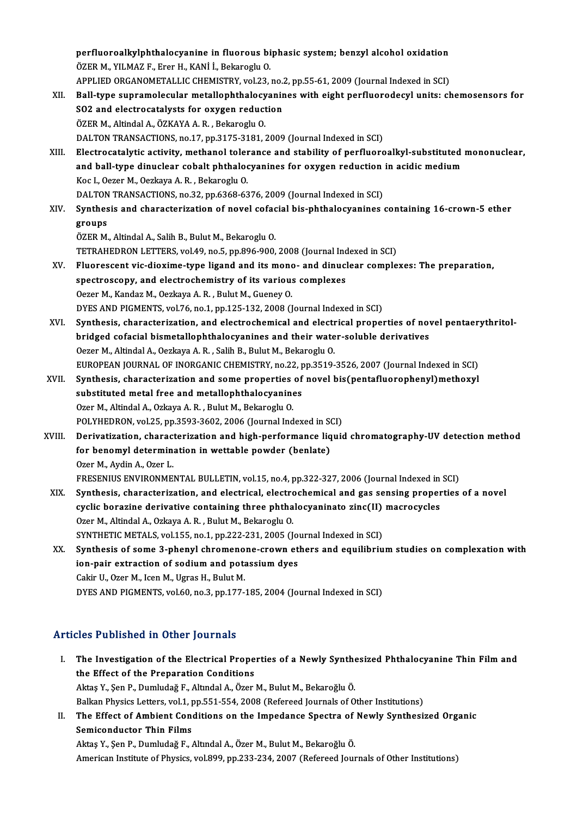perfluoroalkylphthalocyanine in fluorous biphasic system; benzyl alcohol oxidation<br>ÖZEP M. VILMAZ E. Ener H. KANLİ, Bekaneglu Q Perfluoroalkylphthalocyanine in fluorous bi<br>ÖZER M., YILMAZ F., Erer H., KANİ İ., Bekaroglu O.<br>APRLIED ORCANOMETALLIC CHEMISTRY vol 22. perfluoroalkylphthalocyanine in fluorous biphasic system; benzyl alcohol oxidation<br>ÖZER M., YILMAZ F., Erer H., KANİ İ., Bekaroglu O.<br>APPLIED ORGANOMETALLIC CHEMISTRY, vol.23, no.2, pp.55-61, 2009 (Journal Indexed in SCI)<br> ÖZER M., YILMAZ F., Erer H., KANİ İ., Bekaroglu O.<br>APPLIED ORGANOMETALLIC CHEMISTRY, vol.23, no.2, pp.55-61, 2009 (Journal Indexed in SCI)<br>XII. Ball-type supramolecular metallophthalocyanines with eight perfluorodecyl unit APPLIED ORGANOMETALLIC CHEMISTRY, vol.23, no.2, pp.55-61, 2009 (Journal Indexed in SCI) ÖZERM.,AltindalA.,ÖZKAYAA.R. ,BekarogluO. DALTON TRANSACTIONS, no.17, pp.3175-3181, 2009 (Journal Indexed in SCI) XIII. Electrocatalytic activity, methanol tolerance and stability of perfluoroalkyl-substituted mononuclear, DALTON TRANSACTIONS, no.17, pp.3175-3181, 2009 (Journal Indexed in SCI)<br>Electrocatalytic activity, methanol tolerance and stability of perfluoroalkyl-substituted<br>and ball-type dinuclear cobalt phthalocyanines for oxygen re Koc I., Oezer M., Oezkaya A. R., Bekaroglu O. and ball-type dinuclear cobalt phthalocyanines for oxygen reduction<br>Koc I., Oezer M., Oezkaya A. R. , Bekaroglu O.<br>DALTON TRANSACTIONS, no.32, pp.6368-6376, 2009 (Journal Indexed in SCI)<br>Synthesis and share starination of XIV. Synthesis and characterization of novel cofacial bis-phthalocyanines containing 16-crown-5 ether DALTON TRANSACTIONS, no.32, pp.6368-6376, 2009 (Journal Indexed in SCI) ÖZER M., Altindal A., Salih B., Bulut M., Bekaroglu O. groups<br>ÖZER M., Altindal A., Salih B., Bulut M., Bekaroglu O.<br>TETRAHEDRON LETTERS, vol.49, no.5, pp.896-900, 2008 (Journal Indexed in SCI)<br>Eluoressent vis dievime type lisend and its mene, and dinuslear semple ÖZER M., Altindal A., Salih B., Bulut M., Bekaroglu O.<br>TETRAHEDRON LETTERS, vol.49, no.5, pp.896-900, 2008 (Journal Indexed in SCI)<br>XV. Pluorescent vic-dioxime-type ligand and its mono- and dinuclear complexes: The prepara TETRAHEDRON LETTERS, vol.49, no.5, pp.896-900, 2008 (Journal Inceptroscopy, and electrochemistry of its various complexes<br>spectroscopy, and electrochemistry of its various complexes<br>Ogger M. Kandag M. Oggkays A. B., Bulut Fluorescent vic-dioxime-type ligand and its monor<br>spectroscopy, and electrochemistry of its variou:<br>Oezer M., Kandaz M., Oezkaya A.R., Bulut M., Gueney O.<br>DYES AND BICMENTS, vol.76, no.1, np.125,122,2009 (I spectroscopy, and electrochemistry of its various complexes<br>Oezer M., Kandaz M., Oezkaya A. R. , Bulut M., Gueney O.<br>DYES AND PIGMENTS, vol.76, no.1, pp.125-132, 2008 (Journal Indexed in SCI) Oezer M., Kandaz M., Oezkaya A. R. , Bulut M., Gueney O.<br>DYES AND PIGMENTS, vol.76, no.1, pp.125-132, 2008 (Journal Indexed in SCI)<br>XVI. Synthesis, characterization, and electrochemical and electrical properties of novel p DYES AND PIGMENTS, vol.76, no.1, pp.125-132, 2008 (Journal Indexed in SCI)<br>Synthesis, characterization, and electrochemical and electrical properties of novel<br>bridged cofacial bismetallophthalocyanines and their water-solu Synthesis, characterization, and electrochemical and electroridged cofacial bismetallophthalocyanines and their wate<br>Oezer M., Altindal A., Oezkaya A. R. , Salih B., Bulut M., Bekaroglu O.<br>FUROPEAN JOURNAL OF INORCANIC CHE bridged cofacial bismetallophthalocyanines and their water-soluble derivatives<br>Oezer M., Altindal A., Oezkaya A. R. , Salih B., Bulut M., Bekaroglu O.<br>EUROPEAN JOURNAL OF INORGANIC CHEMISTRY, no.22, pp.3519-3526, 2007 (Jou Oezer M., Altindal A., Oezkaya A. R. , Salih B., Bulut M., Bekaroglu O.<br>EUROPEAN JOURNAL OF INORGANIC CHEMISTRY, no.22, pp.3519-3526, 2007 (Journal Indexed in SCI)<br>XVII. Synthesis, characterization and some properties of n EUROPEAN JOURNAL OF INORGANIC CHEMISTRY, no.22, p<br>Synthesis, characterization and some properties of<br>substituted metal free and metallophthalocyanines XVII. Synthesis, characterization and some properties of novel bis(pentafluorophenyl)methoxyl substituted metal free and metallophthalocyanines<br>Ozer M., Altindal A., Ozkaya A. R. , Bulut M., Bekaroglu O. POLYHEDRON, vol.25, pp.3593-3602, 2006 (Journal Indexed in SCI) Ozer M., Altindal A., Ozkaya A. R. , Bulut M., Bekaroglu O.<br>POLYHEDRON, vol.25, pp.3593-3602, 2006 (Journal Indexed in SCI)<br>XVIII. Derivatization, characterization and high-performance liquid chromatography-UV detection me POLYHEDRON, vol.25, pp.3593-3602, 2006 (Journal Indexed in St<br>Derivatization, characterization and high-performance liq<br>for benomyl determination in wettable powder (benlate)<br>Ozer M. Avdin A. Ozer J for benomyl determination in wettable powder (benlate)<br>Ozer M., Aydin A., Ozer L. FRESENIUS ENVIRONMENTAL BULLETIN, vol.15, no.4, pp.322-327, 2006 (Journal Indexed in SCI) Ozer M., Aydin A., Ozer L.<br>FRESENIUS ENVIRONMENTAL BULLETIN, vol.15, no.4, pp.322-327, 2006 (Journal Indexed in SCI)<br>XIX. Synthesis, characterization, and electrical, electrochemical and gas sensing properties of a novel<br>q FRESENIUS ENVIRONMENTAL BULLETIN, vol.15, no.4, pp.322-327, 2006 (Journal Indexed in<br>Synthesis, characterization, and electrical, electrochemical and gas sensing proper<br>cyclic borazine derivative containing three phthalocy Synthesis, characterization, and electrical, electron<br>cyclic borazine derivative containing three phtha<br>Ozer M., Altindal A., Ozkaya A. R., Bulut M., Bekaroglu O.<br>SYNTHETIC METALS vol.155, no.1, np.222,221,2005 (I. cyclic borazine derivative containing three phthalocyaninato zinc(II) macrocycles<br>Ozer M., Altindal A., Ozkaya A. R., Bulut M., Bekaroglu O. XX. Synthesis of some 3-phenyl chromenone-crown ethers and equilibrium studies on complexation with ion-pair extraction of sodium and potassium dyes SYNTHETIC METALS, vol.155, no.1, pp.222-231, 2005 (Journal Indexed in SCI) Cakir U., Ozer M., Icen M., Ugras H., Bulut M. DYES AND PIGMENTS, vol.60, no.3, pp.177-185, 2004 (Journal Indexed in SCI)

# Articles Published in Other Journals

- rticles Published in Other Journals<br>I. The Investigation of the Electrical Properties of a Newly Synthesized Phthalocyanine Thin Film and<br>the Effect of the Preparation Conditions The Investigation of the Electrical Prope<br>the Effect of the Preparation Conditions<br>Altas Y. Son B. Dumludoğ E. Altadal A. Özer The Investigation of the Electrical Properties of a Newly Synthe<br>the Effect of the Preparation Conditions<br>Aktaş Y., Şen P., Dumludağ F., Altındal A., Özer M., Bulut M., Bekaroğlu Ö.<br>Balkan Physiss Letters vol.1. pp.551.554 the Effect of the Preparation Conditions<br>Aktaş Y., Şen P., Dumludağ F., Altındal A., Özer M., Bulut M., Bekaroğlu Ö.<br>Balkan Physics Letters, vol.1, pp.551-554, 2008 (Refereed Journals of Other Institutions)<br>The Effect of A Aktaş Y., Şen P., Dumludağ F., Altındal A., Özer M., Bulut M., Bekaroğlu Ö.<br>Balkan Physics Letters, vol.1, pp.551-554, 2008 (Refereed Journals of Other Institutions)<br>II. The Effect of Ambient Conditions on the Impedance Sp
- Balkan Physics Letters, vol.1, p<br>The Effect of Ambient Cone<br>Semiconductor Thin Films<br>Altas Y. San B. Dumludež E.

Aktaş Y., Şen P., Dumludağ F., Altındal A., Özer M., Bulut M., Bekaroğlu Ö. American Institute of Physics, vol.899, pp.233-234, 2007 (Refereed Journals of Other Institutions)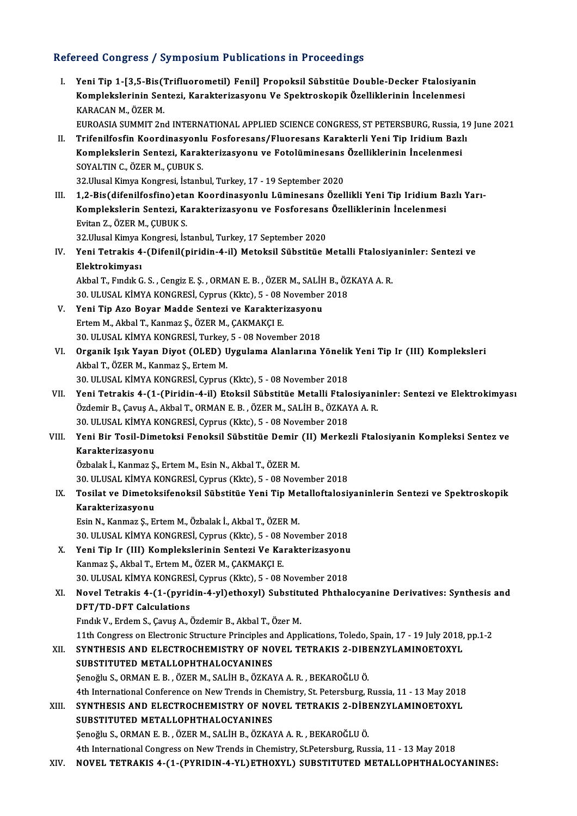# Refereed Congress / Symposium Publications in Proceedings<br>Refereed Congress / Symposium Publications in Proceedings

| Refereed Congress / Symposium Publications in Proceedings |                                                                                                                                                                                                                                                                                   |
|-----------------------------------------------------------|-----------------------------------------------------------------------------------------------------------------------------------------------------------------------------------------------------------------------------------------------------------------------------------|
| Ι.                                                        | Yeni Tip 1-[3,5-Bis(Trifluorometil) Fenil] Propoksil Sübstitüe Double-Decker Ftalosiyanin<br>Komplekslerinin Sentezi, Karakterizasyonu Ve Spektroskopik Özelliklerinin İncelenmesi<br>KARACAN M., ÖZER M.                                                                         |
| Н.                                                        | EUROASIA SUMMIT 2nd INTERNATIONAL APPLIED SCIENCE CONGRESS, ST PETERSBURG, Russia, 19 June 2021<br>Trifenilfosfin Koordinasyonlu Fosforesans/Fluoresans Karakterli Yeni Tip Iridium Bazlı<br>Komplekslerin Sentezi, Karakterizasyonu ve Fotolüminesans Özelliklerinin İncelenmesi |
|                                                           | SOYALTIN C., ÖZER M., ÇUBUK S.                                                                                                                                                                                                                                                    |
|                                                           | 32. Ulusal Kimya Kongresi, İstanbul, Turkey, 17 - 19 September 2020<br>1,2-Bis(difenilfosfino) etan Koordinasyonlu Lüminesans Özellikli Yeni Tip Iridium Bazlı Yarı-                                                                                                              |
| III.                                                      | Komplekslerin Sentezi, Karakterizasyonu ve Fosforesans Özelliklerinin İncelenmesi                                                                                                                                                                                                 |
|                                                           | Evitan Z., ÖZER M., ÇUBUK S.                                                                                                                                                                                                                                                      |
|                                                           | 32. Ulusal Kimya Kongresi, İstanbul, Turkey, 17 September 2020                                                                                                                                                                                                                    |
| IV                                                        | Yeni Tetrakis 4-(Difenil(piridin-4-il) Metoksil Sübstitüe Metalli Ftalosiyaninler: Sentezi ve                                                                                                                                                                                     |
|                                                           | Elektrokimyası                                                                                                                                                                                                                                                                    |
|                                                           | Akbal T., Fındık G. S., Cengiz E. Ş., ORMAN E. B., ÖZER M., SALİH B., ÖZKAYA A. R.                                                                                                                                                                                                |
|                                                           | 30. ULUSAL KİMYA KONGRESİ, Cyprus (Kktc), 5 - 08 November 2018                                                                                                                                                                                                                    |
| V.                                                        | Yeni Tip Azo Boyar Madde Sentezi ve Karakterizasyonu                                                                                                                                                                                                                              |
|                                                           | Ertem M., Akbal T., Kanmaz Ş., ÖZER M., ÇAKMAKÇI E.                                                                                                                                                                                                                               |
|                                                           | 30. ULUSAL KİMYA KONGRESİ, Turkey, 5 - 08 November 2018                                                                                                                                                                                                                           |
| VI.                                                       | Organik Işık Yayan Diyot (OLED) Uygulama Alanlarına Yönelik Yeni Tip Ir (III) Kompleksleri                                                                                                                                                                                        |
|                                                           | Akbal T., ÖZER M., Kanmaz Ş., Ertem M.                                                                                                                                                                                                                                            |
|                                                           | 30. ULUSAL KİMYA KONGRESİ, Cyprus (Kktc), 5 - 08 November 2018                                                                                                                                                                                                                    |
| VII.                                                      | Yeni Tetrakis 4-(1-(Piridin-4-il) Etoksil Sübstitüe Metalli Ftalosiyaninler: Sentezi ve Elektrokimyası                                                                                                                                                                            |
|                                                           | Özdemir B., Çavuş A., Akbal T., ORMAN E. B., ÖZER M., SALİH B., ÖZKAYA A. R.                                                                                                                                                                                                      |
|                                                           | 30. ULUSAL KİMYA KONGRESİ, Cyprus (Kktc), 5 - 08 November 2018<br>Yeni Bir Tosil-Dimetoksi Fenoksil Sübstitüe Demir (II) Merkezli Ftalosiyanin Kompleksi Sentez ve                                                                                                                |
| VIII.                                                     | Karakterizasyonu                                                                                                                                                                                                                                                                  |
|                                                           | Özbalak İ., Kanmaz Ş., Ertem M., Esin N., Akbal T., ÖZER M.                                                                                                                                                                                                                       |
|                                                           | 30. ULUSAL KİMYA KONGRESİ, Cyprus (Kktc), 5 - 08 November 2018                                                                                                                                                                                                                    |
| IX.                                                       | Tosilat ve Dimetoksifenoksil Sübstitüe Yeni Tip Metalloftalosiyaninlerin Sentezi ve Spektroskopik                                                                                                                                                                                 |
|                                                           | Karakterizasyonu                                                                                                                                                                                                                                                                  |
|                                                           | Esin N., Kanmaz Ş., Ertem M., Özbalak İ., Akbal T., ÖZER M.                                                                                                                                                                                                                       |
|                                                           | 30. ULUSAL KİMYA KONGRESİ, Cyprus (Kktc), 5 - 08 November 2018                                                                                                                                                                                                                    |
| X.                                                        | Yeni Tip Ir (III) Komplekslerinin Sentezi Ve Karakterizasyonu                                                                                                                                                                                                                     |
|                                                           | Kanmaz Ş., Akbal T., Ertem M., ÖZER M., ÇAKMAKÇI E.                                                                                                                                                                                                                               |
|                                                           | 30. ULUSAL KİMYA KONGRESİ, Cyprus (Kktc), 5 - 08 November 2018                                                                                                                                                                                                                    |
| XI.                                                       | Novel Tetrakis 4-(1-(pyridin-4-yl)ethoxyl) Substituted Phthalocyanine Derivatives: Synthesis and                                                                                                                                                                                  |
|                                                           | <b>DFT/TD-DFT Calculations</b>                                                                                                                                                                                                                                                    |
|                                                           | Fındık V., Erdem S., Çavuş A., Özdemir B., Akbal T., Özer M.                                                                                                                                                                                                                      |
| XII.                                                      | 11th Congress on Electronic Structure Principles and Applications, Toledo, Spain, 17 - 19 July 2018, pp.1-2<br>SYNTHESIS AND ELECTROCHEMISTRY OF NOVEL TETRAKIS 2-DIBENZYLAMINOETOXYL                                                                                             |
|                                                           | SUBSTITUTED METALLOPHTHALOCYANINES                                                                                                                                                                                                                                                |
|                                                           | Şenoğlu S., ORMAN E. B., ÖZER M., SALİH B., ÖZKAYA A. R., BEKAROĞLU Ö.                                                                                                                                                                                                            |
| XIII.                                                     | 4th International Conference on New Trends in Chemistry, St. Petersburg, Russia, 11 - 13 May 2018<br>SYNTHESIS AND ELECTROCHEMISTRY OF NOVEL TETRAKIS 2-DIBENZYLAMINOETOXYL                                                                                                       |
|                                                           | SUBSTITUTED METALLOPHTHALOCYANINES                                                                                                                                                                                                                                                |
|                                                           | Şenoğlu S., ORMAN E. B., ÖZER M., SALİH B., ÖZKAYA A. R., BEKAROĞLU Ö.                                                                                                                                                                                                            |
|                                                           | 4th International Congress on New Trends in Chemistry, St.Petersburg, Russia, 11 - 13 May 2018                                                                                                                                                                                    |
| XIV.                                                      | NOVEL TETRAKIS 4-(1-(PYRIDIN-4-YL)ETHOXYL) SUBSTITUTED METALLOPHTHALOCYANINES:                                                                                                                                                                                                    |
|                                                           |                                                                                                                                                                                                                                                                                   |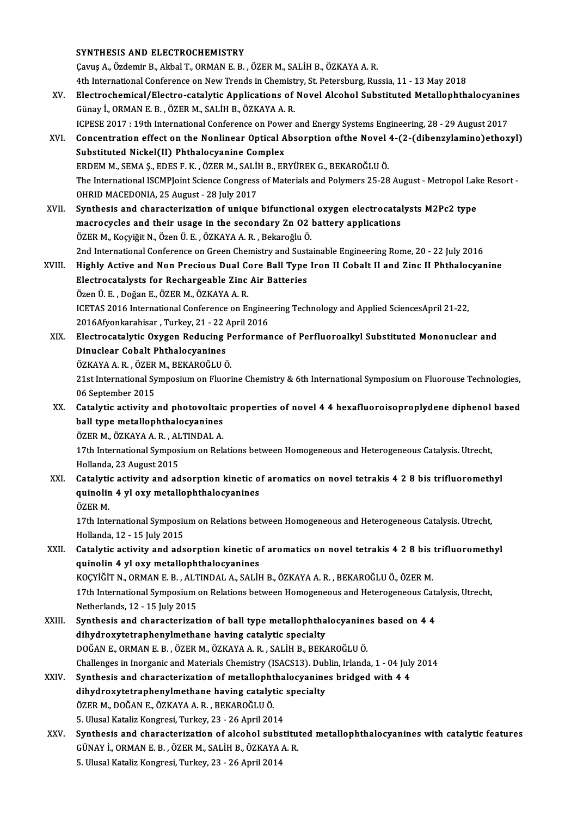#### SYNTHESIS AND ELECTROCHEMISTRY

ÇavuşA.,ÖzdemirB.,AkbalT.,ORMANE.B. ,ÖZERM.,SALİHB.,ÖZKAYAA.R. SYNTHESIS AND ELECTROCHEMISTRY<br>Çavuş A., Özdemir B., Akbal T., ORMAN E. B. , ÖZER M., SALİH B., ÖZKAYA A. R.<br>4th International Conference on New Trends in Chemistry, St. Petersburg, Russia, 11 - 13 May 2018<br>Electrochemical Cavuş A., Özdemir B., Akbal T., ORMAN E. B. , ÖZER M., SALİH B., ÖZKAYA A. R.<br>4th International Conference on New Trends in Chemistry, St. Petersburg, Russia, 11 - 13 May 2018<br>XV. Electrochemical/Electro-catalytic Applicat 4th International Conference on New Trends in Chemist<br>Electrochemical/Electro-catalytic Applications of<br>Günay İ., ORMAN E. B. , ÖZER M., SALİH B., ÖZKAYA A. R.<br>ICRESE 2017 : 19th International Conference on Bourg ; Electrochemical/Electro-catalytic Applications of Novel Alcohol Substituted Metallophthalocyanin<br>Günay İ., ORMAN E. B. , ÖZER M., SALİH B., ÖZKAYA A. R.<br>ICPESE 2017 : 19th International Conference on Power and Energy Syste Günay İ., ORMAN E. B. , ÖZER M., SALİH B., ÖZKAYA A. R.<br>ICPESE 2017 : 19th International Conference on Power and Energy Systems Engineering, 28 - 29 August 2017<br>XVI. Concentration effect on the Nonlinear Optical Absorption ICPESE 2017 : 19th International Conference on Powe<br>Concentration effect on the Nonlinear Optical A<br>Substituted Nickel(II) Phthalocyanine Complex<br>FRAMALO FRAMALE FRAME REVIORED MAGALIU PAR Concentration effect on the Nonlinear Optical Absorption ofthe Novel<br>Substituted Nickel(II) Phthalocyanine Complex<br>ERDEM M., SEMA Ş., EDES F. K. , ÖZER M., SALİH B., ERYÜREK G., BEKAROĞLU Ö.<br>The International ISCMBLeint Sc Substituted Nickel(II) Phthalocyanine Complex<br>ERDEM M., SEMA Ş., EDES F. K. , ÖZER M., SALİH B., ERYÜREK G., BEKAROĞLU Ö.<br>The International ISCMPJoint Science Congress of Materials and Polymers 25-28 August - Metropol Lake ERDEM M., SEMA Ş., EDES F. K. , ÖZER M., SALİI<br>The International ISCMPJoint Science Congress<br>OHRID MACEDONIA, 25 August - 28 July 2017<br>Synthosis and sharesterigation of unique The International ISCMPJoint Science Congress of Materials and Polymers 25-28 August - Metropol Lak<br>OHRID MACEDONIA, 25 August - 28 July 2017<br>XVII. Synthesis and characterization of unique bifunctional oxygen electrocataly OHRID MACEDONIA, 25 August - 28 July 2017<br>Synthesis and characterization of unique bifunctional oxygen electrocatalysts M2Pc2 type<br>macrocycles and their usage in the secondary Zn O2 battery applications ÖZERM.,KoçyiğitN.,ÖzenÜ.E. ,ÖZKAYAA.R. ,BekaroğluÖ. macrocycles and their usage in the secondary Zn O2 battery applications<br>ÖZER M., Koçyiğit N., Özen Ü. E. , ÖZKAYA A. R. , Bekaroğlu Ö.<br>2nd International Conference on Green Chemistry and Sustainable Engineering Rome, 20 - ÖZER M., Koçyiğit N., Özen Ü. E. , ÖZKAYA A. R. , Bekaroğlu Ö.<br>2nd International Conference on Green Chemistry and Sustainable Engineering Rome, 20 - 22 July 2016<br>XVIII. Highly Active and Non Precious Dual Core Ball Type I 2nd International Conference on Green Chemistry and Sust<br>Highly Active and Non Precious Dual Core Ball Type<br>Electrocatalysts for Rechargeable Zinc Air Batteries<br>Özen Ü. E., Dežen E. ÖZERM, ÖZKAYA A. B. Highly Active and Non Precious Dual Continued to the Electrocatalysts for Rechargeable Zinc<br>Özen Ü.E., Doğan E., ÖZER M., ÖZKAYA A.R.<br>JEETAS 2016 International Conference on Ex Electrocatalysts for Rechargeable Zinc Air Batteries<br>Özen Ü. E. , Doğan E., ÖZER M., ÖZKAYA A. R.<br>ICETAS 2016 International Conference on Engineering Technology and Applied SciencesApril 21-22,<br>2016 Afronkarehisen, Turkey Özen Ü. E. , Doğan E., ÖZER M., ÖZKAYA A. R.<br>ICETAS 2016 International Conference on Engine<br>2016Afyonkarahisar , Turkey, 21 - 22 April 2016<br>Elestresstakutie Ouvsen, Bedusing Berformal ICETAS 2016 International Conference on Engineering Technology and Applied SciencesApril 21-22,<br>2016Afyonkarahisar , Turkey, 21 - 22 April 2016<br>XIX. Electrocatalytic Oxygen Reducing Performance of Perfluoroalkyl Substitute 2016Afyonkarahisar , Turkey, 21 - 22 April 2016<br>Electrocatalytic Oxygen Reducing Performa<br>Dinuclear Cobalt Phthalocyanines<br>ÖZKAYA A. R. , ÖZER M., BEKAROĞLU Ö. Electrocatalytic Oxygen Reducing Performance of Perfluoroalkyl Substituted Mononuclear and Dinuclear Cobalt Phthalocyanines<br>ÖZKAYA A. R. , ÖZER M., BEKAROĞLU Ö.<br>21st International Symposium on Fluorine Chemistry & 6th International Symposium on Fluorouse Technologies,<br>06 Sentember 2015 ÖZKAYA A. R. , ÖZER<br>21st International Sy<br>06 September 2015<br>Catalutic activity a 21st International Symposium on Fluorine Chemistry & 6th International Symposium on Fluorouse Technologies,<br>06 September 2015<br>XX. Catalytic activity and photovoltaic properties of novel 4 4 hexafluoroisoproplydene diphenol 06 September 2015<br>Catalytic activity and photovoltaid<br>ball type metallophthalocyanines Catalytic activity and photovoltaio<br>ball type metallophthalocyanines<br>ÖZER M., ÖZKAYA A. R. , ALTINDAL A.<br>17th International Sumnesium on Pok ball type metallophthalocyanines<br>ÖZER M., ÖZKAYA A. R. , ALTINDAL A.<br>17th International Symposium on Relations between Homogeneous and Heterogeneous Catalysis. Utrecht,<br>Hellanda. 22. August 2015 ÖZER M., ÖZKAYA A. R. , AL<br>17th International Sympos<br>Hollanda, 23 August 2015<br>Catalutia activity and ad 17th International Symposium on Relations between Homogeneous and Heterogeneous Catalysis. Utrecht,<br>Hollanda, 23 August 2015<br>XXI. Catalytic activity and adsorption kinetic of aromatics on novel tetrakis 4 2 8 bis trifluoro Hollanda, 23 August 2015<br>Catalytic activity and adsorption kinetic of aromatics on novel tetrakis 4 2 8 bis trifluoromethyl<br>quinolin 4 yl oxy metallophthalocyanines<br>ÖZER M. quinolin 4 yl oxy metallophthalocyanines quinolin 4 yl oxy metallophthalocyanines<br>ÖZER M.<br>17th International Symposium on Relations between Homogeneous and Heterogeneous Catalysis. Utrecht,<br>Hallanda 12, 15 July 2015 ÖZER M.<br>17th International Symposiu<br>Hollanda, 12 - 15 July 2015<br>Catalutic activity and ade 17th International Symposium on Relations between Homogeneous and Heterogeneous Catalysis. Utrecht,<br>Hollanda, 12 - 15 July 2015<br>XXII. Catalytic activity and adsorption kinetic of aromatics on novel tetrakis 4 2 8 bis trifl Hollanda, 12 - 15 July 2015<br>Catalytic activity and adsorption kinetic o<br>quinolin 4 yl oxy metallophthalocyanines<br>KOCYİĞİT N. OPMAN E B. ALTINDAL A. SALİL Catalytic activity and adsorption kinetic of aromatics on novel tetrakis 4 2 8 bis<br>quinolin 4 yl oxy metallophthalocyanines<br>KOÇYİĞİT N., ORMAN E.B. , ALTINDAL A., SALİH B., ÖZKAYA A. R. , BEKAROĞLU Ö., ÖZER M.<br>17th Interna quinolin 4 yl oxy metallophthalocyanines<br>KOÇYİĞİT N., ORMAN E. B. , ALTINDAL A., SALİH B., ÖZKAYA A. R. , BEKAROĞLU Ö., ÖZER M.<br>17th International Symposium on Relations between Homogeneous and Heterogeneous Catalysis, Utr KOÇYİĞİT N., ORMAN E. B. , ALT<br>17th International Symposium<br>Netherlands, 12 - 15 July 2015<br>Synthosis and sharastariyat 17th International Symposium on Relations between Homogeneous and Heterogeneous Cata<br>Netherlands, 12 - 15 July 2015<br>XXIII. Synthesis and characterization of ball type metallophthalocyanines based on 4 4<br>Aibydnewytetrapheny Netherlands, 12 - 15 July 2015<br>Synthesis and characterization of ball type metallophtha<br>dihydroxytetraphenylmethane having catalytic specialty<br>DOČAN E. OPMAN E. P., ÖZEP M. ÖZKAVA A. P., SALİH P. PEK/ Synthesis and characterization of ball type metallophthalocyanine<br>dihydroxytetraphenylmethane having catalytic specialty<br>DOĞAN E., ORMAN E.B., ÖZER M., ÖZKAYA A.R., SALİH B., BEKAROĞLU Ö.<br>Challanges in Inorganis and Materi dihydroxytetraphenylmethane having catalytic specialty<br>DOĞAN E., ORMAN E. B. , ÖZER M., ÖZKAYA A. R. , SALİH B., BEKAROĞLU Ö.<br>Challenges in Inorganic and Materials Chemistry (ISACS13). Dublin, Irlanda, 1 - 04 July 2014<br>Syn DOĞAN E., ORMAN E. B., ÖZER M., ÖZKAYA A. R., SALİH B., BEKAROĞLU Ö.<br>Challenges in Inorganic and Materials Chemistry (ISACS13). Dublin, Irlanda, 1 - 04 July<br>XXIV. Synthesis and characterization of metallophthalocyanines br Challenges in Inorganic and Materials Chemistry (ISACS13). Dub<br>Synthesis and characterization of metallophthalocyanine<br>dihydroxytetraphenylmethane having catalytic specialty<br>ÖZEP M. DOČAN E. ÖZKAYA A. B. PEKAROČLUÖ Synthesis and characterization of metallopht<br>dihydroxytetraphenylmethane having catalyt<br>ÖZER M., DOĞAN E., ÖZKAYA A. R. , BEKAROĞLU Ö.<br>E. Ulusel Kataliz Kongresi Turkey, 22, 26 April 201 dihydroxytetraphenylmethane having catalytic<br>ÖZER M., DOĞAN E., ÖZKAYA A. R. , BEKAROĞLU Ö.<br>5. Ulusal Kataliz Kongresi, Turkey, 23 - 26 April 2014<br>Synthesis and shanasterination of alsohol suhat 5. Ulusal Kataliz Kongresi, Turkey, 23 - 26 April 2014<br>XXV. Synthesis and characterization of alcohol substituted metallophthalocyanines with catalytic features GÜNAYİ.,ORMANE.B. ,ÖZERM.,SALİHB.,ÖZKAYAA.R.

5. Ulusal Kataliz Kongresi, Turkey, 23 - 26 April 2014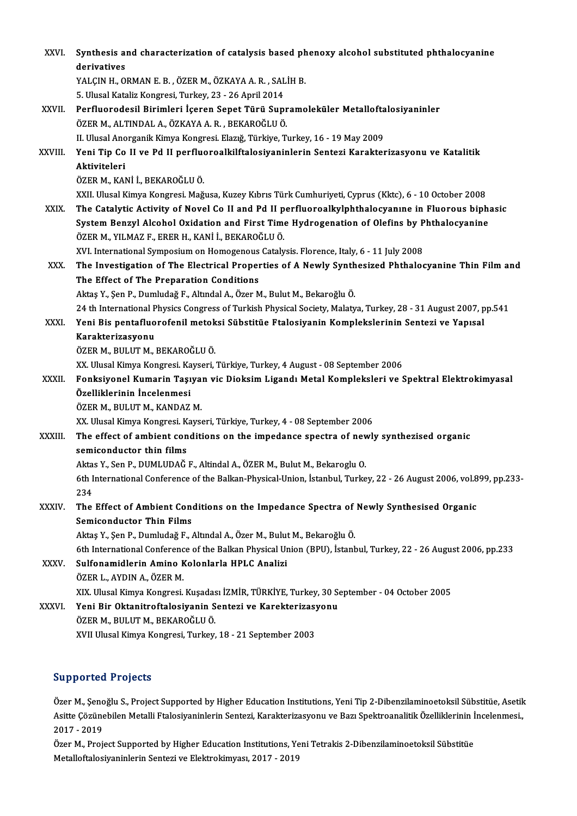| XXVI.        | Synthesis and characterization of catalysis based phenoxy alcohol substituted phthalocyanine                                                    |
|--------------|-------------------------------------------------------------------------------------------------------------------------------------------------|
|              | derivatives                                                                                                                                     |
|              | YALÇIN H., ORMAN E. B., ÖZER M., ÖZKAYA A. R., SALİH B.                                                                                         |
|              | 5. Ulusal Kataliz Kongresi, Turkey, 23 - 26 April 2014                                                                                          |
| XXVII.       | Perfluorodesil Birimleri İçeren Sepet Türü Supramoleküler Metalloftalosiyaninler                                                                |
|              | ÖZER M., ALTINDAL A., ÖZKAYA A. R., BEKAROĞLU Ö.                                                                                                |
|              | II. Ulusal Anorganik Kimya Kongresi. Elazığ, Türkiye, Turkey, 16 - 19 May 2009                                                                  |
| XXVIII.      | Yeni Tip Co II ve Pd II perfluoroalkilftalosiyaninlerin Sentezi Karakterizasyonu ve Katalitik                                                   |
|              | Aktiviteleri                                                                                                                                    |
|              | ÖZER M., KANİ İ., BEKAROĞLU Ö.                                                                                                                  |
|              | XXII. Ulusal Kimya Kongresi. Mağusa, Kuzey Kıbrıs Türk Cumhuriyeti, Cyprus (Kktc), 6 - 10 October 2008                                          |
| XXIX.        | The Catalytic Activity of Novel Co II and Pd II perfluoroalkylphthalocyanine in Fluorous biphasic                                               |
|              | System Benzyl Alcohol Oxidation and First Time Hydrogenation of Olefins by Phthalocyanine<br>ÖZER M., YILMAZ F., ERER H., KANİ İ., BEKAROĞLU Ö. |
|              | XVI. International Symposium on Homogenous Catalysis. Florence, Italy, 6 - 11 July 2008                                                         |
| XXX.         | The Investigation of The Electrical Properties of A Newly Synthesized Phthalocyanine Thin Film and                                              |
|              | The Effect of The Preparation Conditions                                                                                                        |
|              | Aktaş Y., Şen P., Dumludağ F., Altındal A., Özer M., Bulut M., Bekaroğlu Ö.                                                                     |
|              | 24 th International Physics Congress of Turkish Physical Society, Malatya, Turkey, 28 - 31 August 2007, pp.541                                  |
| XXXI.        | Yeni Bis pentafluorofenil metoksi Sübstitüe Ftalosiyanin Komplekslerinin Sentezi ve Yapısal                                                     |
|              | Karakterizasyonu                                                                                                                                |
|              | ÖZER M., BULUT M., BEKAROĞLU Ö.                                                                                                                 |
|              | XX. Ulusal Kimya Kongresi. Kayseri, Türkiye, Turkey, 4 August - 08 September 2006                                                               |
| <b>XXXII</b> | Fonksiyonel Kumarin Taşıyan vic Dioksim Ligandı Metal Kompleksleri ve Spektral Elektrokimyasal                                                  |
|              | Özelliklerinin İncelenmesi                                                                                                                      |
|              | ÖZER M., BULUT M., KANDAZ M.                                                                                                                    |
|              | XX. Ulusal Kimya Kongresi. Kayseri, Türkiye, Turkey, 4 - 08 September 2006                                                                      |
| XXXIII.      | The effect of ambient conditions on the impedance spectra of newly synthezised organic                                                          |
|              | semiconductor thin films                                                                                                                        |
|              | Aktas Y., Sen P., DUMLUDAĞ F., Altindal A., ÖZER M., Bulut M., Bekaroglu O.                                                                     |
|              | 6th International Conference of the Balkan-Physical-Union, İstanbul, Turkey, 22 - 26 August 2006, vol.899, pp.233-<br>234                       |
| XXXIV.       | The Effect of Ambient Conditions on the Impedance Spectra of Newly Synthesised Organic                                                          |
|              | <b>Semiconductor Thin Films</b>                                                                                                                 |
|              | Aktaş Y., Şen P., Dumludağ F., Altındal A., Özer M., Bulut M., Bekaroğlu Ö.                                                                     |
|              | 6th International Conference of the Balkan Physical Union (BPU), İstanbul, Turkey, 22 - 26 August 2006, pp.233                                  |
| XXXV.        | Sulfonamidlerin Amino Kolonlarla HPLC Analizi                                                                                                   |
|              | ÖZER L., AYDIN A., ÖZER M.                                                                                                                      |
|              | XIX. Ulusal Kimya Kongresi. Kuşadası İZMİR, TÜRKİYE, Turkey, 30 September - 04 October 2005                                                     |
| XXXVI        | Yeni Bir Oktanitroftalosiyanin Sentezi ve Karekterizasyonu                                                                                      |
|              | ÖZER M., BULUT M., BEKAROĞLU Ö.                                                                                                                 |
|              | XVII Ulusal Kimya Kongresi, Turkey, 18 - 21 September 2003                                                                                      |
|              |                                                                                                                                                 |

## Supported Projects

Özer M., Şenoğlu S., Project Supported by Higher Education Institutions, Yeni Tip 2-Dibenzilaminoetoksil Sübstitüe, Asetik Barp Britsen in Bysses<br>Özer M., Şenoğlu S., Project Supported by Higher Education Institutions, Yeni Tip 2-Dibenzilaminoetoksil Sübstitüe, Asetik<br>Asitte Çözünebilen Metalli Ftalosiyaninlerin Sentezi, Karakterizasyonu ve Ba Özer M., Şeno<br>Asitte Çözüne<br>2017 - 2019<br>Özer M., Prej Asitte Çözünebilen Metalli Ftalosiyaninlerin Sentezi, Karakterizasyonu ve Bazı Spektroanalitik Özelliklerinin İ<br>2017 - 2019<br>Özer M., Project Supported by Higher Education Institutions, Yeni Tetrakis 2-Dibenzilaminoetoksil

2017 - 2019<br>Özer M., Project Supported by Higher Education Institutions, Yeni Tetrakis 2-Dibenzilaminoetoksil Sübstitüe<br>Metalloftalosiyaninlerin Sentezi ve Elektrokimyası, 2017 - 2019